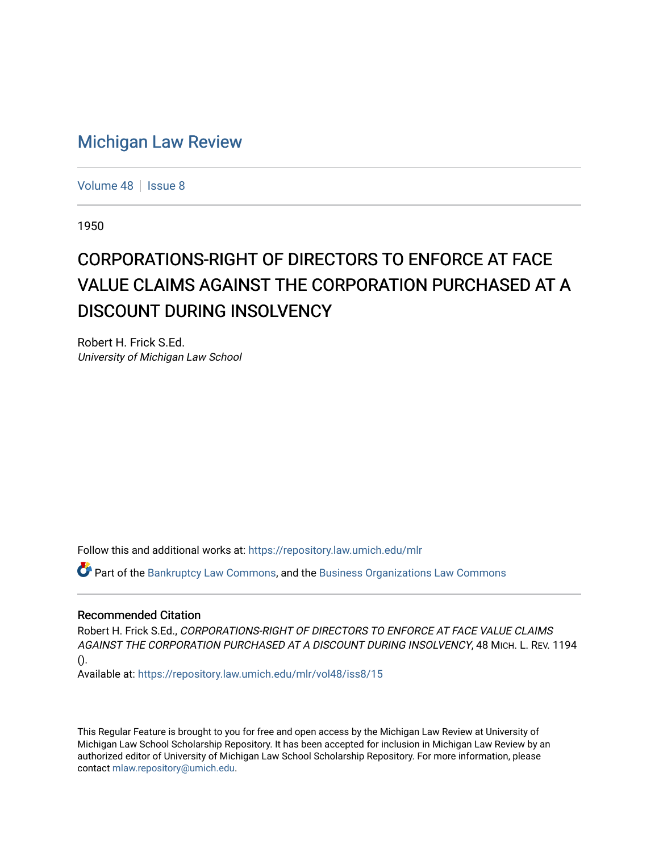## [Michigan Law Review](https://repository.law.umich.edu/mlr)

[Volume 48](https://repository.law.umich.edu/mlr/vol48) | [Issue 8](https://repository.law.umich.edu/mlr/vol48/iss8)

1950

## CORPORATIONS-RIGHT OF DIRECTORS TO ENFORCE AT FACE VALUE CLAIMS AGAINST THE CORPORATION PURCHASED AT A DISCOUNT DURING INSOLVENCY

Robert H. Frick S.Ed. University of Michigan Law School

Follow this and additional works at: [https://repository.law.umich.edu/mlr](https://repository.law.umich.edu/mlr?utm_source=repository.law.umich.edu%2Fmlr%2Fvol48%2Fiss8%2F15&utm_medium=PDF&utm_campaign=PDFCoverPages) 

Part of the [Bankruptcy Law Commons,](http://network.bepress.com/hgg/discipline/583?utm_source=repository.law.umich.edu%2Fmlr%2Fvol48%2Fiss8%2F15&utm_medium=PDF&utm_campaign=PDFCoverPages) and the [Business Organizations Law Commons](http://network.bepress.com/hgg/discipline/900?utm_source=repository.law.umich.edu%2Fmlr%2Fvol48%2Fiss8%2F15&utm_medium=PDF&utm_campaign=PDFCoverPages) 

## Recommended Citation

Robert H. Frick S.Ed., CORPORATIONS-RIGHT OF DIRECTORS TO ENFORCE AT FACE VALUE CLAIMS AGAINST THE CORPORATION PURCHASED AT A DISCOUNT DURING INSOLVENCY, 48 MICH. L. REV. 1194 ().

Available at: [https://repository.law.umich.edu/mlr/vol48/iss8/15](https://repository.law.umich.edu/mlr/vol48/iss8/15?utm_source=repository.law.umich.edu%2Fmlr%2Fvol48%2Fiss8%2F15&utm_medium=PDF&utm_campaign=PDFCoverPages) 

This Regular Feature is brought to you for free and open access by the Michigan Law Review at University of Michigan Law School Scholarship Repository. It has been accepted for inclusion in Michigan Law Review by an authorized editor of University of Michigan Law School Scholarship Repository. For more information, please contact [mlaw.repository@umich.edu](mailto:mlaw.repository@umich.edu).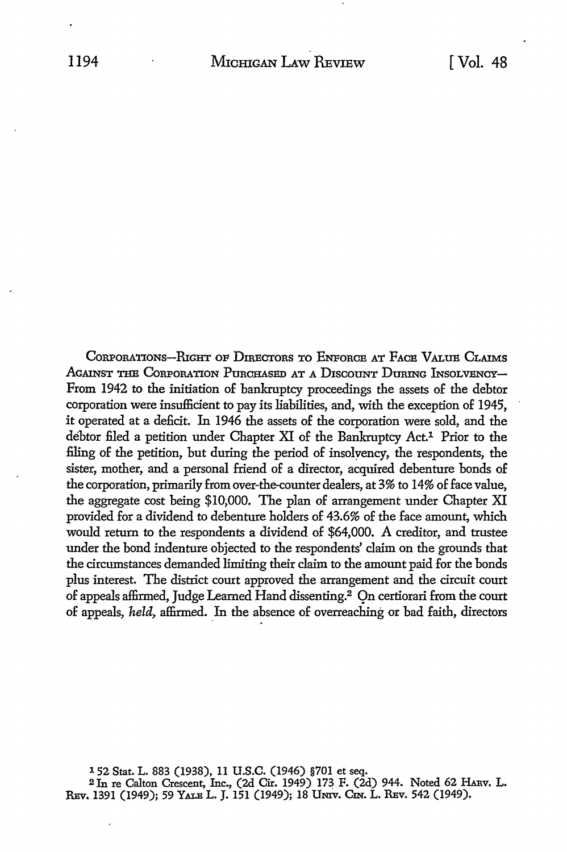CORPORATIONS-RIGHT OF DIRECTORS TO ENFORCE AT FACE VALUE CLAIMS AGAINST THE CORPORATION PURCHASED AT A DISCOUNT DURING INSOLVENCY-From 1942 to the initiation of bankruptcy proceedings the assets of the debtor corporation were insufficient to pay its liabilities, and, with the exception of 1945, it operated at a deficit. In 1946 the assets of the corporation were sold, and the debtor filed a petition under Chapter XI of the Bankruptcy Act.<sup>1</sup> Prior to the filing of the petition, but during the period of insolyency, the respondents, the sister, mother, and a personal friend of a director, acquired debenture bonds of the corporation, primarily from over-the-counter dealers, at 3% to 14% of face value, the aggregate cost being \$10,000. The plan of arrangement under Chapter XI provided for a dividend to debenture holders of 43.6% of the face amount, which would return to the respondents a dividend of \$64,000. A creditor, and trustee under the bond indenture objected to the respondents' claim on the grounds that the circumstances demanded limiting their claim to the amount paid for the bonds plus interest. The district court approved the arrangement and the circuit court of appeals affirmed, Judge Learned Hand dissenting.2 Qn certiorari from the court of appeals, *held*, affirmed. In the absence of overreaching or bad faith, directors

1 52 Stat. L. 883 (1938), 11 U.S.C. (1946) §701 et seq. <sup>2</sup> In re Calton Crescent, Inc., (2d Cir. 1949) 173 F. (2d) 944. Noted 62 HARV. L. REv. 1391 (1949); 59 YALE L. J. 151 (1949); 18 Umv. Cm. L. REv. 542 (1949).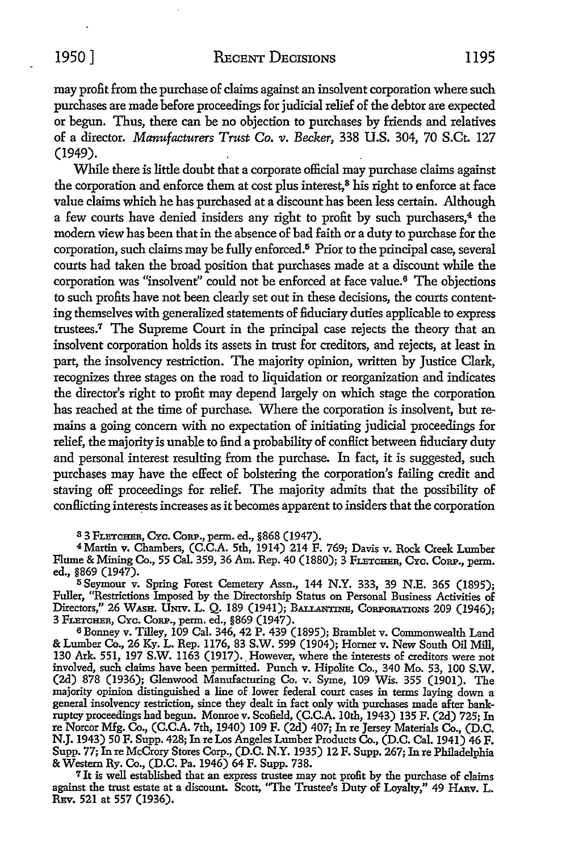may profit from the purchase of claims against an insolvent corporation where such purchases are made before proceedings for judicial relief of the debtor are expected or begun. Thus, there can be no objection to purchases by friends and relatives of a director. *Manufacturers Trust Co. v. Becker*, 338 U.S. 304, 70 S.Ct. 127 (1949).

While there is little doubt that a corporate official may purchase claims against the corporation and enforce them at cost plus interest,<sup>3</sup> his right to enforce at face value claims which he has purchased at a discount has been less certain. Although a few courts have denied insiders any right to profit by such purchasers,<sup>4</sup> the modem view has been that in the absence of bad faith or a duty to purchase for the corporation, such claims may be fully enforced.<sup>5</sup> Prior to the principal case, several courts had taken the broad position that purchases made at a discount while the corporation was "insolvent" could not be enforced at face value.6 The objections to such profits have not been clearly set out in these decisions, the courts contenting themselves with generalized statements of fiduciary duties applicable to express trustees.<sup>7</sup>The Supreme Court in the principal case rejects the theory that an insolvent corporation holds its assets in trust for creditors, and rejects, at least in part, the insolvency restriction. The majority opinion, written by Justice Clark, recognizes three stages on the road to liquidation or reorganization and indicates the director's right to profit may depend largely on which stage the corporation has reached at the time of purchase. Where the corporation is insolvent, but remains a going concern with no expectation of initiating judicial proceedings for relief, the majority is unable to find a probability of conBict between fiduciary duty and personal interest resulting from the purchase. In fact, it is suggested, such purchases may have the effect of bolstering the corporation's failing credit and staving off proceedings for relief. The majority admits that the possibility of conBicting interests increases as it becomes apparent to insiders that the corporation

3 3 FLETCHER, CYc. CoRP., perm. ed., §868 (1947).

<sup>4</sup> Martin v. Chambers, (C.C.A. 5th, 1914) 214 F. 769; Davis v. Rock Creek Lumber Flume & Mining Co., 55 Cal. 359, 36 Am. Rep. 40 (1880); 3 FLETCHER, Cyc. CORP., perm. ed., §869 (1947).

<sup>5</sup> Seymour v. Spring Forest Cemetery Assn., 144 N.Y. 333, 39 N.E. 365 (1895); Fuller, ''Restrictions Imposed by the Directorship Status on Personal Business Activities of Directors," 26 WASH. Umv. L. Q. 189 (1941); BALLANTINE, CoRPORATIONS 209 (1946); 3 FLETCHER, CYc. CoRP., perm. ed., §869 (1947).

6 Bonney v. Tilley, 109 Cal. 346, 42 P. 439 (1895); Bramblet v. Commonwealth Land & Lumber Co., 26 Ky. L. Rep. 1176, 83 S.W. 599 (1904); Horner v. New South Oil Mill, 130 Ark. 551, 197 S.W. 1163 (1917). However, where the interests of creditors were not involved, such claims have been permitted. Punch v. Hipolite Co., 340 Mo. 53, 100 S.W. (2d) 878 (1936); Glenwood Manufacturing Co. v. Syme, 109 Wis. 355 (1901). The majority opinion distinguished a line of lower federal court cases in terms laying down a general insolvency restriction, since they dealt in fact only with purchases made after bankruptcy proceedings had begun. Monroe v. Scofield, (C.C.A. 10th, 1943) 135 F. (2d) 725; In re Norcor Mfg. Co., (C.C.A. 7th, 1940) 109 F. (2d) 407; In re Jersey Materials Co., (D.C. N.J. 1943) 50 F. Supp. 428; In re Los Angeles Lumber Products Co., (D.C. Cal. 1941) 46 F. Supp. 77; In re McCrory Stores Corp., (D.C. N.Y. 1935) 12 F. Supp. 267; In re Philadelphia & Western Ry. Co., (D.C. Pa. 1946) 64 F. Supp. 738.

<sup>7</sup>It is well established that an express trustee may not profit by the purchase of claims against the trust estate at a discount. Scott, ''The Trustee's Duty of Loyalty," 49 HAnv. L. REv. 521 at 557 (1936).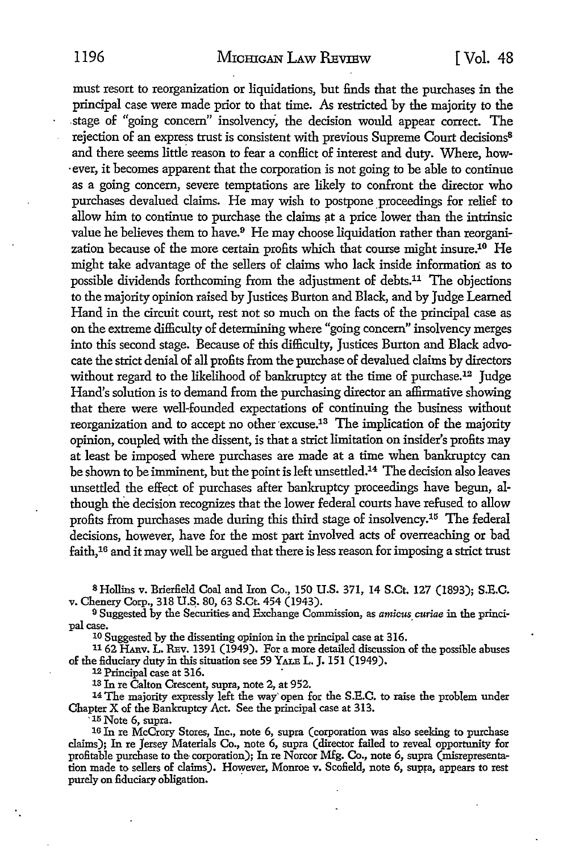must resort to reorganization or liquidations, but finds that the purchases in the principal case were made prior to that time. As restricted by the majority to the .stage of "going concern" insolvency, the decision would appear correct. The rejection of an express trust is consistent with previous Supreme Court decisions<sup>8</sup> and there seems little reason to fear a conflict of interest and duty. Where, how- . ever, it becomes apparent that the corporation is not going to be able to continue as a going concern, severe temptations are likely to confront the director who purchases devalued claims. He may wish to postpone proceedings for relief to allow him to continue to purchase the claims at a price lower than the intrinsic value he believes them to have.9 He may choose liquidation rather than reorganization because of the more certain profits which that course might insure.10 He might take advantage of the sellers of claims who lack inside information as to possible dividends forthcoming from the adjustment of debts.11 The objections to the majority opinion raised by Justices Burton and Black, and by Judge Learned Hand in the circuit court, rest not so much on the facts of the principal case as on the extreme difficulty of determining where "going concern" insolvency merges into this second stage. Because of this difficulty, Justices Burton and Black advocate the strict denial of all profits from the purchase of devalued claims by directors without regard to the likelihood of bankruptcy at the time of purchase.<sup>12</sup> Judge Hand's solution is to demand from the purchasing director an affirmative showing that there were well-founded expectations of continuing the business without reorganization and to accept no other excuse.<sup>13</sup> The implication of the majority opinion, coupled with the dissent, is that a strict limitation on insider's profits may at least be imposed where purchases are made at a time when bankruptcy can be shown to be imminent, but the point is left unsettled.14 The decision also leaves unsettled the effect of purchases after bankruptcy proceedings have begun, although the decision recognizes that the lower federal courts have refused to allow profits from purchases made during this third stage of insolvency.15 The federal decisions, however, have for the most part involved acts of overreaching or bad faith, 16 and it may well be argued that there is less reason for imposing a strict trust

8 Hollins v. Brierfield Coal and Iron Co., 150 U.S. 371, 14 S.Ct. 127 (1893); S.E.C. v. Chenery Corp., 318 U.S. 80, 63 S.Ct. 454 (1943).

<sup>9</sup> Suggested by the Securities and Exchange Commission, as *amicus curiae* in the princi-<br>pal case.

10 Suggested by the dissenting opinion in the principal case at 316.

1162 HARv. L. REv. 1391 (1949). For a more detailed discussion of the possible abuses of the fiduciary duty in this situation see 59 YALE L. J. 151 (1949).

12 Principal case at 316.

18 In re Calton Crescent, supra, note 2, at 952.

14 The majority expressly left the way· open for the S.E.C. to raise the problem under Chapter X of the Bankruptcy Act. See the principal case at 313.<br> $\frac{15 \text{ Note 6, supra.}}{15}$ 

16 In re McCrory Stores, Inc., note 6, supra (corporation was also seeking to purchase claims); In re *1ersey* Materials Co., note 6, supra (director failed to reveal opportunity for profitable purchase to the corporation); In re Norcor Mfg. Co., note 6, supra (misrepresentation made to sellers of claims). However, Monroe v. Scofield, note 6, supra, appears to rest purely on fiduciary obligation.